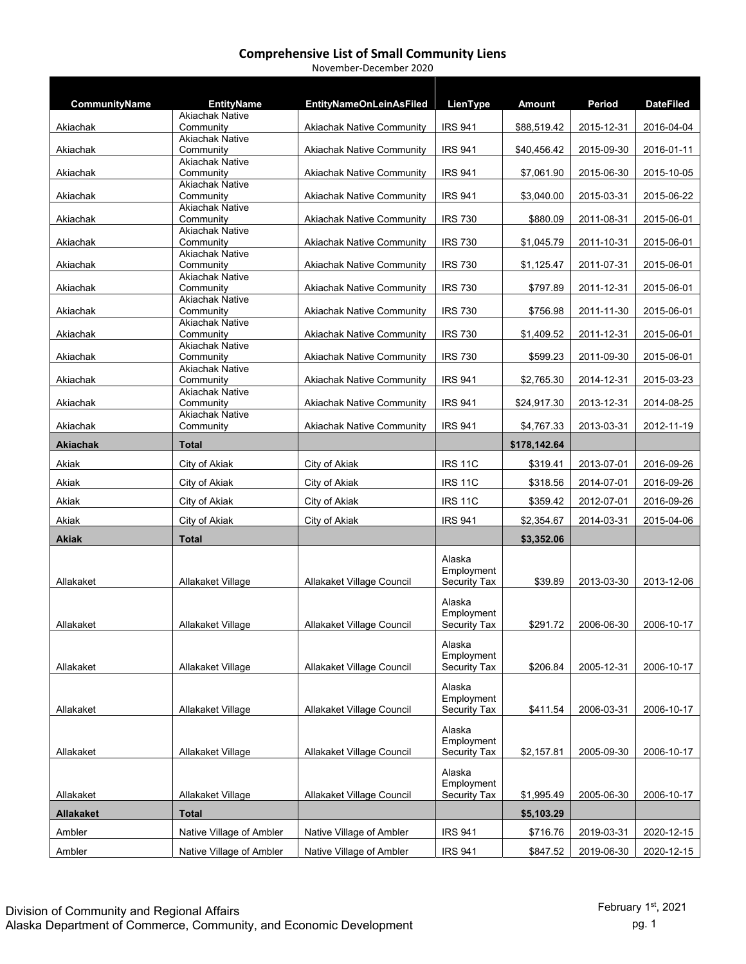| CommunityName    | <b>EntityName</b><br><b>Akiachak Native</b> | <b>EntityNameOnLeinAsFiled</b>   | LienType                          | <b>Amount</b> | Period     | <b>DateFiled</b> |
|------------------|---------------------------------------------|----------------------------------|-----------------------------------|---------------|------------|------------------|
| Akiachak         | Community                                   | <b>Akiachak Native Community</b> | <b>IRS 941</b>                    | \$88,519.42   | 2015-12-31 | 2016-04-04       |
|                  | <b>Akiachak Native</b>                      |                                  |                                   |               |            |                  |
| Akiachak         | Community<br><b>Akiachak Native</b>         | <b>Akiachak Native Community</b> | <b>IRS 941</b>                    | \$40,456.42   | 2015-09-30 | 2016-01-11       |
| Akiachak         | Community                                   | <b>Akiachak Native Community</b> | <b>IRS 941</b>                    | \$7,061.90    | 2015-06-30 | 2015-10-05       |
| Akiachak         | <b>Akiachak Native</b><br>Community         | <b>Akiachak Native Community</b> | <b>IRS 941</b>                    | \$3,040.00    | 2015-03-31 | 2015-06-22       |
|                  | <b>Akiachak Native</b>                      |                                  |                                   |               |            |                  |
| Akiachak         | Community<br><b>Akiachak Native</b>         | <b>Akiachak Native Community</b> | <b>IRS 730</b>                    | \$880.09      | 2011-08-31 | 2015-06-01       |
| Akiachak         | Community                                   | Akiachak Native Community        | <b>IRS 730</b>                    | \$1,045.79    | 2011-10-31 | 2015-06-01       |
| Akiachak         | <b>Akiachak Native</b><br>Community         | <b>Akiachak Native Community</b> | <b>IRS 730</b>                    | \$1,125.47    | 2011-07-31 | 2015-06-01       |
|                  | <b>Akiachak Native</b>                      |                                  |                                   |               |            |                  |
| Akiachak         | Community<br><b>Akiachak Native</b>         | <b>Akiachak Native Community</b> | <b>IRS 730</b>                    | \$797.89      | 2011-12-31 | 2015-06-01       |
| Akiachak         | Community                                   | <b>Akiachak Native Community</b> | <b>IRS 730</b>                    | \$756.98      | 2011-11-30 | 2015-06-01       |
| Akiachak         | <b>Akiachak Native</b><br>Community         | <b>Akiachak Native Community</b> | <b>IRS 730</b>                    | \$1,409.52    | 2011-12-31 | 2015-06-01       |
|                  | <b>Akiachak Native</b><br>Community         | <b>Akiachak Native Community</b> | <b>IRS 730</b>                    | \$599.23      |            | 2015-06-01       |
| Akiachak         | <b>Akiachak Native</b>                      |                                  |                                   |               | 2011-09-30 |                  |
| Akiachak         | Community<br><b>Akiachak Native</b>         | <b>Akiachak Native Community</b> | <b>IRS 941</b>                    | \$2,765.30    | 2014-12-31 | 2015-03-23       |
| Akiachak         | Community                                   | Akiachak Native Community        | <b>IRS 941</b>                    | \$24,917.30   | 2013-12-31 | 2014-08-25       |
| Akiachak         | <b>Akiachak Native</b><br>Community         | <b>Akiachak Native Community</b> | <b>IRS 941</b>                    | \$4,767.33    | 2013-03-31 | 2012-11-19       |
| <b>Akiachak</b>  | <b>Total</b>                                |                                  |                                   | \$178,142.64  |            |                  |
| Akiak            | City of Akiak                               | City of Akiak                    | <b>IRS 11C</b>                    | \$319.41      | 2013-07-01 | 2016-09-26       |
| Akiak            | City of Akiak                               | City of Akiak                    | <b>IRS 11C</b>                    | \$318.56      | 2014-07-01 | 2016-09-26       |
| Akiak            | City of Akiak                               | City of Akiak                    | <b>IRS 11C</b>                    | \$359.42      | 2012-07-01 | 2016-09-26       |
| Akiak            | City of Akiak                               | City of Akiak                    | <b>IRS 941</b>                    | \$2,354.67    | 2014-03-31 | 2015-04-06       |
| <b>Akiak</b>     | <b>Total</b>                                |                                  |                                   | \$3,352.06    |            |                  |
|                  |                                             |                                  | Alaska                            |               |            |                  |
|                  |                                             |                                  | Employment                        |               |            |                  |
| Allakaket        | Allakaket Village                           | Allakaket Village Council        | Security Tax                      | \$39.89       | 2013-03-30 | 2013-12-06       |
|                  |                                             |                                  | Alaska                            |               |            |                  |
| Allakaket        | Allakaket Village                           | Allakaket Village Council        | Employment<br><b>Security Tax</b> | \$291.72      | 2006-06-30 | 2006-10-17       |
|                  |                                             |                                  |                                   |               |            |                  |
|                  |                                             |                                  | Alaska<br>Employment              |               |            |                  |
| Allakaket        | Allakaket Village                           | Allakaket Village Council        | Security Tax                      | \$206.84      | 2005-12-31 | 2006-10-17       |
|                  |                                             |                                  | Alaska                            |               |            |                  |
| Allakaket        | Allakaket Village                           | Allakaket Village Council        | Employment<br><b>Security Tax</b> | \$411.54      | 2006-03-31 | 2006-10-17       |
|                  |                                             |                                  | Alaska                            |               |            |                  |
|                  |                                             |                                  | Employment                        |               |            |                  |
| Allakaket        | Allakaket Village                           | Allakaket Village Council        | Security Tax                      | \$2,157.81    | 2005-09-30 | 2006-10-17       |
|                  |                                             |                                  | Alaska<br>Employment              |               |            |                  |
| Allakaket        | Allakaket Village                           | Allakaket Village Council        | Security Tax                      | \$1,995.49    | 2005-06-30 | 2006-10-17       |
| <b>Allakaket</b> | <b>Total</b>                                |                                  |                                   | \$5,103.29    |            |                  |
| Ambler           | Native Village of Ambler                    | Native Village of Ambler         | <b>IRS 941</b>                    | \$716.76      | 2019-03-31 | 2020-12-15       |
|                  | Native Village of Ambler                    | Native Village of Ambler         | <b>IRS 941</b>                    | \$847.52      | 2019-06-30 | 2020-12-15       |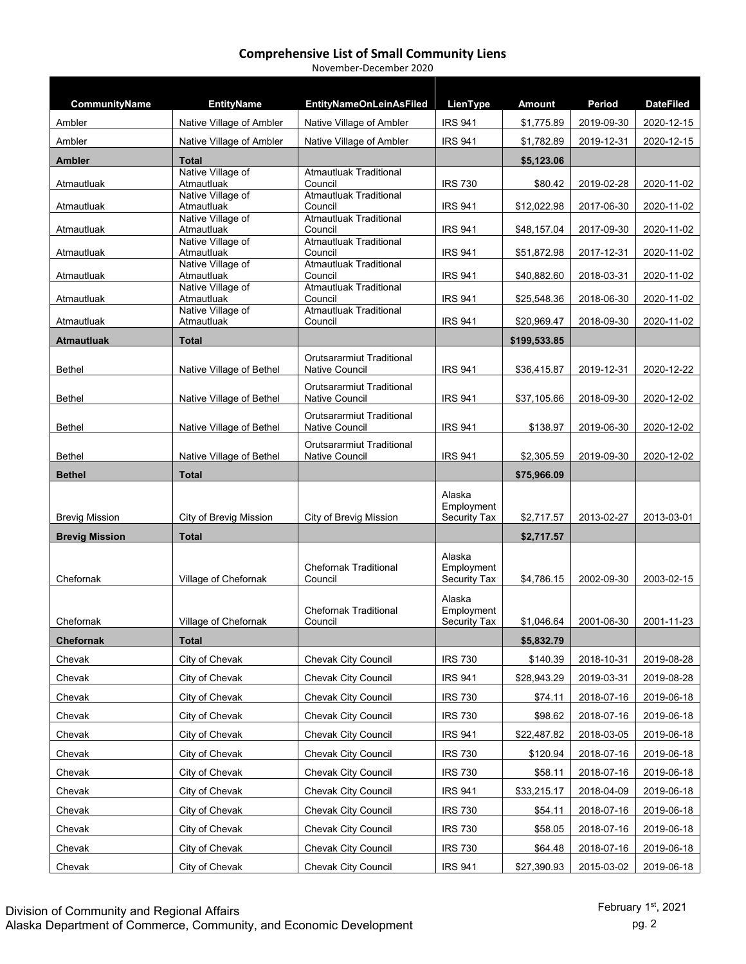| CommunityName         | <b>EntityName</b>               | <b>EntityNameOnLeinAsFiled</b>                     | LienType             | <b>Amount</b> | Period     | <b>DateFiled</b> |
|-----------------------|---------------------------------|----------------------------------------------------|----------------------|---------------|------------|------------------|
| Ambler                | Native Village of Ambler        | Native Village of Ambler                           | <b>IRS 941</b>       | \$1,775.89    | 2019-09-30 | 2020-12-15       |
| Ambler                | Native Village of Ambler        | Native Village of Ambler                           | <b>IRS 941</b>       | \$1,782.89    | 2019-12-31 | 2020-12-15       |
| <b>Ambler</b>         | <b>Total</b>                    |                                                    |                      | \$5,123.06    |            |                  |
|                       | Native Village of               | <b>Atmautluak Traditional</b>                      |                      |               |            |                  |
| Atmautluak            | Atmautluak<br>Native Village of | Council<br><b>Atmautluak Traditional</b>           | <b>IRS 730</b>       | \$80.42       | 2019-02-28 | 2020-11-02       |
| Atmautluak            | Atmautluak                      | Council                                            | <b>IRS 941</b>       | \$12,022.98   | 2017-06-30 | 2020-11-02       |
| Atmautluak            | Native Village of<br>Atmautluak | <b>Atmautluak Traditional</b><br>Council           | <b>IRS 941</b>       | \$48,157.04   | 2017-09-30 | 2020-11-02       |
| Atmautluak            | Native Village of<br>Atmautluak | <b>Atmautluak Traditional</b><br>Council           | <b>IRS 941</b>       | \$51,872.98   | 2017-12-31 | 2020-11-02       |
|                       | Native Village of               | <b>Atmautluak Traditional</b>                      |                      |               |            |                  |
| Atmautluak            | Atmautluak<br>Native Village of | Council<br><b>Atmautluak Traditional</b>           | <b>IRS 941</b>       | \$40,882.60   | 2018-03-31 | 2020-11-02       |
| Atmautluak            | Atmautluak                      | Council                                            | <b>IRS 941</b>       | \$25,548.36   | 2018-06-30 | 2020-11-02       |
| Atmautluak            | Native Village of<br>Atmautluak | <b>Atmautluak Traditional</b><br>Council           | <b>IRS 941</b>       | \$20,969.47   | 2018-09-30 | 2020-11-02       |
| <b>Atmautluak</b>     | Total                           |                                                    |                      | \$199,533.85  |            |                  |
|                       |                                 | <b>Orutsararmiut Traditional</b>                   |                      |               |            |                  |
| Bethel                | Native Village of Bethel        | Native Council                                     | <b>IRS 941</b>       | \$36,415.87   | 2019-12-31 | 2020-12-22       |
| <b>Bethel</b>         | Native Village of Bethel        | <b>Orutsararmiut Traditional</b><br>Native Council | <b>IRS 941</b>       | \$37,105.66   | 2018-09-30 | 2020-12-02       |
|                       |                                 | Orutsararmiut Traditional                          |                      |               |            |                  |
| <b>Bethel</b>         | Native Village of Bethel        | Native Council                                     | <b>IRS 941</b>       | \$138.97      | 2019-06-30 | 2020-12-02       |
| <b>Bethel</b>         | Native Village of Bethel        | Orutsararmiut Traditional<br><b>Native Council</b> | <b>IRS 941</b>       | \$2,305.59    | 2019-09-30 | 2020-12-02       |
| <b>Bethel</b>         | <b>Total</b>                    |                                                    |                      | \$75,966.09   |            |                  |
|                       |                                 |                                                    | Alaska<br>Employment |               |            |                  |
| <b>Brevig Mission</b> | City of Brevig Mission          | City of Brevig Mission                             | Security Tax         | \$2,717.57    | 2013-02-27 | 2013-03-01       |
| <b>Brevig Mission</b> | <b>Total</b>                    |                                                    |                      | \$2,717.57    |            |                  |
|                       |                                 | <b>Chefornak Traditional</b>                       | Alaska<br>Employment |               |            |                  |
| Chefornak             | Village of Chefornak            | Council                                            | Security Tax         | \$4,786.15    | 2002-09-30 | 2003-02-15       |
|                       |                                 | <b>Chefornak Traditional</b><br>Council            | Alaska<br>Employment |               |            |                  |
| Chefornak             | Village of Chefornak            |                                                    | <b>Security Tax</b>  | \$1,046.64    | 2001-06-30 | 2001-11-23       |
| <b>Chefornak</b>      | <b>Total</b>                    |                                                    |                      | \$5,832.79    |            |                  |
| Chevak                | City of Chevak                  | Chevak City Council                                | <b>IRS 730</b>       | \$140.39      | 2018-10-31 | 2019-08-28       |
| Chevak                | City of Chevak                  | Chevak City Council                                | <b>IRS 941</b>       | \$28,943.29   | 2019-03-31 | 2019-08-28       |
| Chevak                | City of Chevak                  | Chevak City Council                                | <b>IRS 730</b>       | \$74.11       | 2018-07-16 | 2019-06-18       |
| Chevak                | City of Chevak                  | Chevak City Council                                | <b>IRS 730</b>       | \$98.62       | 2018-07-16 | 2019-06-18       |
| Chevak                | City of Chevak                  | Chevak City Council                                | <b>IRS 941</b>       | \$22,487.82   | 2018-03-05 | 2019-06-18       |
| Chevak                | City of Chevak                  | <b>Chevak City Council</b>                         | <b>IRS 730</b>       | \$120.94      | 2018-07-16 | 2019-06-18       |
| Chevak                | City of Chevak                  | Chevak City Council                                | <b>IRS 730</b>       | \$58.11       | 2018-07-16 | 2019-06-18       |
| Chevak                | City of Chevak                  | Chevak City Council                                | <b>IRS 941</b>       | \$33,215.17   | 2018-04-09 | 2019-06-18       |
| Chevak                | City of Chevak                  | Chevak City Council                                | <b>IRS 730</b>       | \$54.11       | 2018-07-16 | 2019-06-18       |
| Chevak                | City of Chevak                  | Chevak City Council                                | <b>IRS 730</b>       | \$58.05       | 2018-07-16 | 2019-06-18       |
| Chevak                | City of Chevak                  | Chevak City Council                                | <b>IRS 730</b>       | \$64.48       | 2018-07-16 | 2019-06-18       |
| Chevak                | City of Chevak                  | Chevak City Council                                | <b>IRS 941</b>       | \$27,390.93   | 2015-03-02 | 2019-06-18       |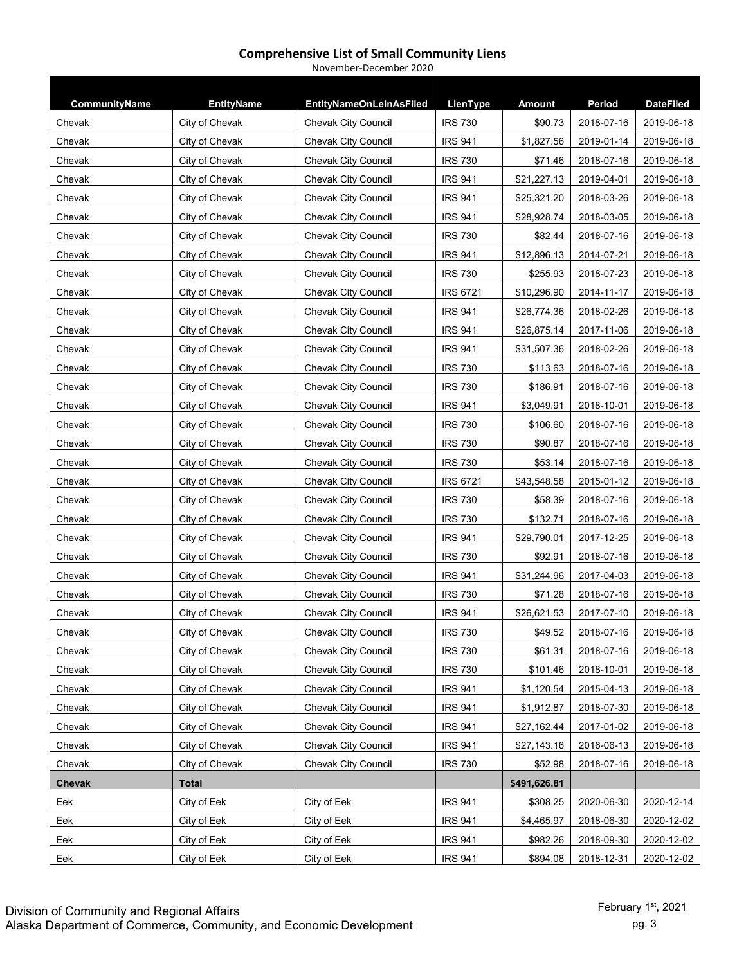| CommunityName | <b>EntityName</b>     | <b>EntityNameOnLeinAsFiled</b> | LienType        | <b>Amount</b> | Period     | <b>DateFiled</b> |  |
|---------------|-----------------------|--------------------------------|-----------------|---------------|------------|------------------|--|
| Chevak        | City of Chevak        | <b>Chevak City Council</b>     | <b>IRS 730</b>  | \$90.73       | 2018-07-16 | 2019-06-18       |  |
| Chevak        | City of Chevak        | Chevak City Council            | <b>IRS 941</b>  | \$1,827.56    | 2019-01-14 | 2019-06-18       |  |
| Chevak        | City of Chevak        | <b>Chevak City Council</b>     | <b>IRS 730</b>  | \$71.46       | 2018-07-16 | 2019-06-18       |  |
| Chevak        | City of Chevak        | <b>Chevak City Council</b>     | <b>IRS 941</b>  | \$21,227.13   | 2019-04-01 | 2019-06-18       |  |
| Chevak        | City of Chevak        | <b>Chevak City Council</b>     | <b>IRS 941</b>  | \$25,321.20   | 2018-03-26 | 2019-06-18       |  |
| Chevak        | City of Chevak        | <b>Chevak City Council</b>     | <b>IRS 941</b>  | \$28,928.74   | 2018-03-05 | 2019-06-18       |  |
| Chevak        | City of Chevak        | <b>Chevak City Council</b>     | <b>IRS 730</b>  | \$82.44       | 2018-07-16 | 2019-06-18       |  |
| Chevak        | City of Chevak        | Chevak City Council            | <b>IRS 941</b>  | \$12,896.13   | 2014-07-21 | 2019-06-18       |  |
|               | City of Chevak        | Chevak City Council            | <b>IRS 730</b>  | \$255.93      | 2018-07-23 | 2019-06-18       |  |
| Chevak        |                       |                                | IRS 6721        |               |            |                  |  |
| Chevak        | City of Chevak        | Chevak City Council            |                 | \$10,296.90   | 2014-11-17 | 2019-06-18       |  |
| Chevak        | City of Chevak        | <b>Chevak City Council</b>     | <b>IRS 941</b>  | \$26,774.36   | 2018-02-26 | 2019-06-18       |  |
| Chevak        | City of Chevak        | Chevak City Council            | <b>IRS 941</b>  | \$26,875.14   | 2017-11-06 | 2019-06-18       |  |
| Chevak        | City of Chevak        | Chevak City Council            | <b>IRS 941</b>  | \$31,507.36   | 2018-02-26 | 2019-06-18       |  |
| Chevak        | City of Chevak        | Chevak City Council            | <b>IRS 730</b>  | \$113.63      | 2018-07-16 | 2019-06-18       |  |
| Chevak        | City of Chevak        | <b>Chevak City Council</b>     | <b>IRS 730</b>  | \$186.91      | 2018-07-16 | 2019-06-18       |  |
| Chevak        | City of Chevak        | <b>Chevak City Council</b>     | <b>IRS 941</b>  | \$3,049.91    | 2018-10-01 | 2019-06-18       |  |
| Chevak        | City of Chevak        | Chevak City Council            | <b>IRS 730</b>  | \$106.60      | 2018-07-16 | 2019-06-18       |  |
| Chevak        | City of Chevak        | <b>Chevak City Council</b>     | <b>IRS 730</b>  | \$90.87       | 2018-07-16 | 2019-06-18       |  |
| Chevak        | City of Chevak        | <b>Chevak City Council</b>     | <b>IRS 730</b>  | \$53.14       | 2018-07-16 | 2019-06-18       |  |
| Chevak        | City of Chevak        | Chevak City Council            | <b>IRS 6721</b> | \$43,548.58   | 2015-01-12 | 2019-06-18       |  |
| Chevak        | City of Chevak        | Chevak City Council            | <b>IRS 730</b>  | \$58.39       | 2018-07-16 | 2019-06-18       |  |
| Chevak        | City of Chevak        | <b>Chevak City Council</b>     | <b>IRS 730</b>  | \$132.71      | 2018-07-16 | 2019-06-18       |  |
| Chevak        | <b>City of Chevak</b> | <b>Chevak City Council</b>     | <b>IRS 941</b>  | \$29,790.01   | 2017-12-25 | 2019-06-18       |  |
| Chevak        | City of Chevak        | <b>Chevak City Council</b>     | <b>IRS 730</b>  | \$92.91       | 2018-07-16 | 2019-06-18       |  |
| Chevak        | City of Chevak        | <b>Chevak City Council</b>     | <b>IRS 941</b>  | \$31,244.96   | 2017-04-03 | 2019-06-18       |  |
| Chevak        | City of Chevak        | Chevak City Council            | <b>IRS 730</b>  | \$71.28       | 2018-07-16 | 2019-06-18       |  |
| Chevak        | City of Chevak        | Chevak City Council            | <b>IRS 941</b>  | \$26,621.53   | 2017-07-10 | 2019-06-18       |  |
| Chevak        | City of Chevak        | Chevak City Council            | <b>IRS 730</b>  | \$49.52       | 2018-07-16 | 2019-06-18       |  |
| Chevak        | City of Chevak        | <b>Chevak City Council</b>     | IRS 730         | \$61.31       | 2018-07-16 | 2019-06-18       |  |
| Chevak        | City of Chevak        | <b>Chevak City Council</b>     | <b>IRS 730</b>  | \$101.46      | 2018-10-01 | 2019-06-18       |  |
| Chevak        | City of Chevak        | Chevak City Council            | <b>IRS 941</b>  | \$1,120.54    | 2015-04-13 | 2019-06-18       |  |
| Chevak        | City of Chevak        | Chevak City Council            | <b>IRS 941</b>  | \$1,912.87    | 2018-07-30 | 2019-06-18       |  |
| Chevak        | City of Chevak        | Chevak City Council            | <b>IRS 941</b>  | \$27,162.44   | 2017-01-02 | 2019-06-18       |  |
| Chevak        | City of Chevak        | Chevak City Council            | <b>IRS 941</b>  | \$27,143.16   | 2016-06-13 | 2019-06-18       |  |
| Chevak        | City of Chevak        | <b>Chevak City Council</b>     | <b>IRS 730</b>  | \$52.98       | 2018-07-16 | 2019-06-18       |  |
| Chevak        | <b>Total</b>          |                                |                 | \$491,626.81  |            |                  |  |
| <u>Eek</u>    | City of Eek           | City of Eek                    | <b>IRS 941</b>  | \$308.25      | 2020-06-30 | 2020-12-14       |  |
| Eek           | City of Eek           | City of Eek                    | <b>IRS 941</b>  | \$4,465.97    | 2018-06-30 | 2020-12-02       |  |
| Eek           | City of Eek           | City of Eek                    | <b>IRS 941</b>  | \$982.26      | 2018-09-30 | 2020-12-02       |  |

Eek City of Eek City of Eek IRS 941 \$894.08 2018-12-31 2020-12-02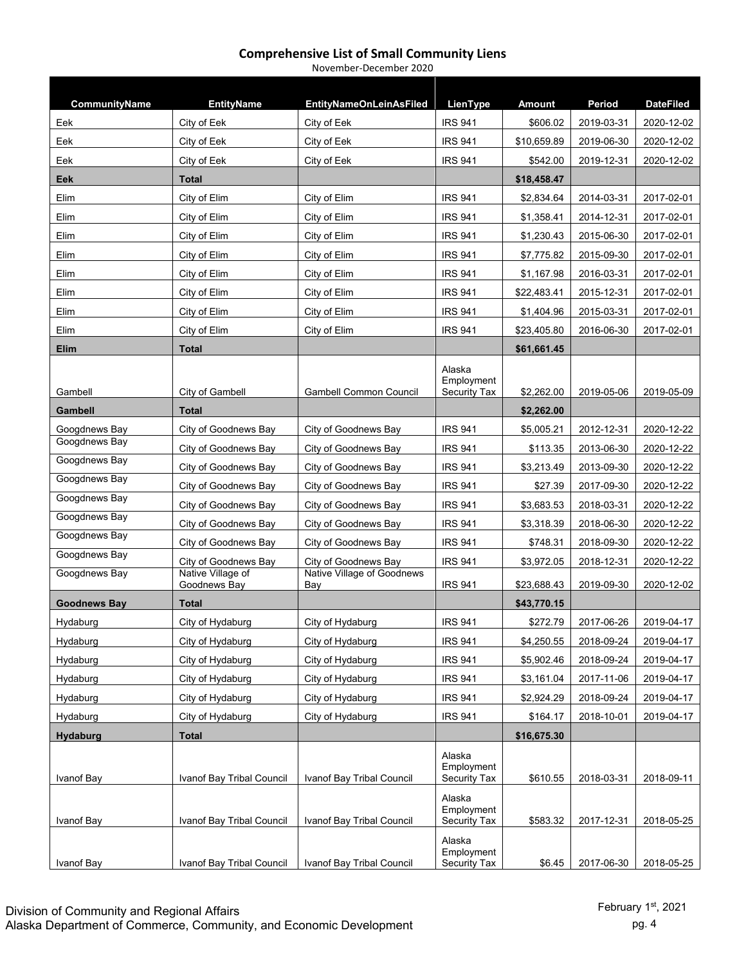| CommunityName       | <b>EntityName</b>                 | <b>EntityNameOnLeinAsFiled</b>    | LienType                                    | <b>Amount</b> | Period     | <b>DateFiled</b> |
|---------------------|-----------------------------------|-----------------------------------|---------------------------------------------|---------------|------------|------------------|
| Eek                 | City of Eek                       | City of Eek                       | <b>IRS 941</b>                              | \$606.02      | 2019-03-31 | 2020-12-02       |
| Eek                 | City of Eek                       | City of Eek                       | <b>IRS 941</b>                              | \$10,659.89   | 2019-06-30 | 2020-12-02       |
| Eek                 | City of Eek                       | City of Eek                       | <b>IRS 941</b>                              | \$542.00      | 2019-12-31 | 2020-12-02       |
| Eek                 | Total                             |                                   |                                             | \$18,458.47   |            |                  |
| Elim                | City of Elim                      | City of Elim                      | <b>IRS 941</b>                              | \$2,834.64    | 2014-03-31 | 2017-02-01       |
| Elim                | City of Elim                      | City of Elim                      | <b>IRS 941</b>                              | \$1,358.41    | 2014-12-31 | 2017-02-01       |
| Elim                | City of Elim                      | City of Elim                      | <b>IRS 941</b>                              | \$1,230.43    | 2015-06-30 | 2017-02-01       |
| Elim                | City of Elim                      | City of Elim                      | <b>IRS 941</b>                              | \$7,775.82    | 2015-09-30 | 2017-02-01       |
| Elim                | City of Elim                      | City of Elim                      | <b>IRS 941</b>                              | \$1,167.98    | 2016-03-31 | 2017-02-01       |
| Elim                | City of Elim                      | City of Elim                      | <b>IRS 941</b>                              | \$22,483.41   | 2015-12-31 | 2017-02-01       |
| Elim                | City of Elim                      | City of Elim                      | <b>IRS 941</b>                              | \$1,404.96    | 2015-03-31 | 2017-02-01       |
| Elim                | City of Elim                      | City of Elim                      | <b>IRS 941</b>                              | \$23,405.80   | 2016-06-30 | 2017-02-01       |
| Elim                | <b>Total</b>                      |                                   |                                             | \$61,661.45   |            |                  |
| Gambell             | City of Gambell                   | <b>Gambell Common Council</b>     | Alaska<br>Employment<br><b>Security Tax</b> | \$2,262.00    | 2019-05-06 | 2019-05-09       |
| <b>Gambell</b>      | <b>Total</b>                      |                                   |                                             | \$2.262.00    |            |                  |
| Googdnews Bay       | City of Goodnews Bay              | City of Goodnews Bay              | <b>IRS 941</b>                              | \$5,005.21    | 2012-12-31 | 2020-12-22       |
| Googdnews Bay       | City of Goodnews Bay              | City of Goodnews Bay              | <b>IRS 941</b>                              | \$113.35      | 2013-06-30 | 2020-12-22       |
| Googdnews Bay       | City of Goodnews Bay              | City of Goodnews Bay              | <b>IRS 941</b>                              | \$3,213.49    | 2013-09-30 | 2020-12-22       |
| Googdnews Bay       | City of Goodnews Bay              | City of Goodnews Bay              | <b>IRS 941</b>                              | \$27.39       | 2017-09-30 | 2020-12-22       |
| Googdnews Bay       | City of Goodnews Bay              | City of Goodnews Bay              | <b>IRS 941</b>                              | \$3,683.53    | 2018-03-31 | 2020-12-22       |
| Googdnews Bay       | City of Goodnews Bay              | City of Goodnews Bay              | <b>IRS 941</b>                              | \$3,318.39    | 2018-06-30 | 2020-12-22       |
| Googdnews Bay       | City of Goodnews Bay              | City of Goodnews Bay              | <b>IRS 941</b>                              | \$748.31      | 2018-09-30 | 2020-12-22       |
| Googdnews Bay       | City of Goodnews Bay              | City of Goodnews Bay              | <b>IRS 941</b>                              | \$3,972.05    | 2018-12-31 | 2020-12-22       |
| Googdnews Bay       | Native Village of<br>Goodnews Bay | Native Village of Goodnews<br>Bay | <b>IRS 941</b>                              | \$23,688.43   | 2019-09-30 | 2020-12-02       |
| <b>Goodnews Bay</b> | Total                             |                                   |                                             | \$43,770.15   |            |                  |
| Hydaburg            | City of Hydaburg                  | City of Hydaburg                  | <b>IRS 941</b>                              | \$272.79      | 2017-06-26 | 2019-04-17       |
| Hydaburg            | City of Hydaburg                  | City of Hydaburg                  | <b>IRS 941</b>                              | \$4,250.55    | 2018-09-24 | 2019-04-17       |
| Hydaburg            | City of Hydaburg                  | City of Hydaburg                  | <b>IRS 941</b>                              | \$5,902.46    | 2018-09-24 | 2019-04-17       |
| Hydaburg            | City of Hydaburg                  | City of Hydaburg                  | <b>IRS 941</b>                              | \$3,161.04    | 2017-11-06 | 2019-04-17       |
| Hydaburg            | City of Hydaburg                  | City of Hydaburg                  | <b>IRS 941</b>                              | \$2,924.29    | 2018-09-24 | 2019-04-17       |
| Hydaburg            | City of Hydaburg                  | City of Hydaburg                  | <b>IRS 941</b>                              | \$164.17      | 2018-10-01 | 2019-04-17       |
| Hydaburg            | Total                             |                                   |                                             | \$16,675.30   |            |                  |
| Ivanof Bay          | Ivanof Bay Tribal Council         | Ivanof Bay Tribal Council         | Alaska<br>Employment<br>Security Tax        | \$610.55      | 2018-03-31 | 2018-09-11       |
| Ivanof Bay          | Ivanof Bay Tribal Council         | Ivanof Bay Tribal Council         | Alaska<br>Employment<br><b>Security Tax</b> | \$583.32      | 2017-12-31 | 2018-05-25       |
| Ivanof Bay          | Ivanof Bay Tribal Council         | Ivanof Bay Tribal Council         | Alaska<br>Employment<br>Security Tax        | \$6.45        | 2017-06-30 | 2018-05-25       |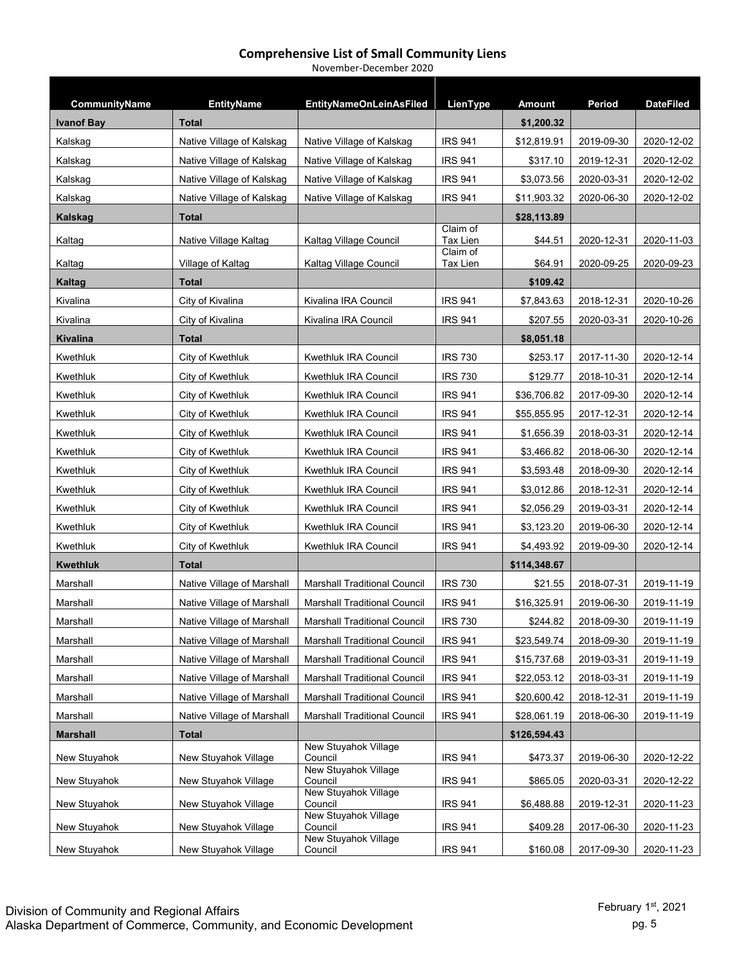| CommunityName     | <b>EntityName</b>          | <b>EntityNameOnLeinAsFiled</b>      | LienType                    | <b>Amount</b> | <b>Period</b> | <b>DateFiled</b> |
|-------------------|----------------------------|-------------------------------------|-----------------------------|---------------|---------------|------------------|
| <b>Ivanof Bay</b> | <b>Total</b>               |                                     |                             | \$1,200.32    |               |                  |
| Kalskag           | Native Village of Kalskag  | Native Village of Kalskag           | <b>IRS 941</b>              | \$12,819.91   | 2019-09-30    | 2020-12-02       |
| Kalskag           | Native Village of Kalskag  | Native Village of Kalskag           | <b>IRS 941</b>              | \$317.10      | 2019-12-31    | 2020-12-02       |
| Kalskag           | Native Village of Kalskag  | Native Village of Kalskag           | <b>IRS 941</b>              | \$3,073.56    | 2020-03-31    | 2020-12-02       |
| Kalskag           | Native Village of Kalskag  | Native Village of Kalskag           | <b>IRS 941</b>              | \$11,903.32   | 2020-06-30    | 2020-12-02       |
| Kalskag           | <b>Total</b>               |                                     |                             | \$28,113.89   |               |                  |
| Kaltag            | Native Village Kaltag      | Kaltag Village Council              | Claim of<br>Tax Lien        | \$44.51       | 2020-12-31    | 2020-11-03       |
| Kaltag            | Village of Kaltag          | Kaltag Village Council              | Claim of<br><b>Tax Lien</b> | \$64.91       | 2020-09-25    | 2020-09-23       |
| Kaltag            | Total                      |                                     |                             | \$109.42      |               |                  |
| Kivalina          | City of Kivalina           | Kivalina IRA Council                | <b>IRS 941</b>              | \$7,843.63    | 2018-12-31    | 2020-10-26       |
| Kivalina          | City of Kivalina           | Kivalina IRA Council                | <b>IRS 941</b>              | \$207.55      | 2020-03-31    | 2020-10-26       |
| Kivalina          | <b>Total</b>               |                                     |                             | \$8,051.18    |               |                  |
| Kwethluk          | City of Kwethluk           | Kwethluk IRA Council                | <b>IRS 730</b>              | \$253.17      | 2017-11-30    | 2020-12-14       |
| Kwethluk          | City of Kwethluk           | Kwethluk IRA Council                | <b>IRS 730</b>              | \$129.77      | 2018-10-31    | 2020-12-14       |
| Kwethluk          | City of Kwethluk           | Kwethluk IRA Council                | <b>IRS 941</b>              | \$36,706.82   | 2017-09-30    | 2020-12-14       |
| Kwethluk          | City of Kwethluk           | Kwethluk IRA Council                | <b>IRS 941</b>              | \$55,855.95   | 2017-12-31    | 2020-12-14       |
| Kwethluk          | City of Kwethluk           | Kwethluk IRA Council                | <b>IRS 941</b>              | \$1,656.39    | 2018-03-31    | 2020-12-14       |
| Kwethluk          | City of Kwethluk           | Kwethluk IRA Council                | <b>IRS 941</b>              | \$3,466.82    | 2018-06-30    | 2020-12-14       |
| Kwethluk          | City of Kwethluk           | Kwethluk IRA Council                | <b>IRS 941</b>              | \$3,593.48    | 2018-09-30    | 2020-12-14       |
| Kwethluk          | City of Kwethluk           | Kwethluk IRA Council                | <b>IRS 941</b>              | \$3,012.86    | 2018-12-31    | 2020-12-14       |
| Kwethluk          | City of Kwethluk           | Kwethluk IRA Council                | <b>IRS 941</b>              | \$2,056.29    | 2019-03-31    | 2020-12-14       |
| Kwethluk          | City of Kwethluk           | Kwethluk IRA Council                | <b>IRS 941</b>              | \$3,123.20    | 2019-06-30    | 2020-12-14       |
| Kwethluk          | City of Kwethluk           | Kwethluk IRA Council                | <b>IRS 941</b>              | \$4,493.92    | 2019-09-30    | 2020-12-14       |
| Kwethluk          | <b>Total</b>               |                                     |                             | \$114,348.67  |               |                  |
| Marshall          | Native Village of Marshall | <b>Marshall Traditional Council</b> | <b>IRS 730</b>              | \$21.55       | 2018-07-31    | 2019-11-19       |
| Marshall          | Native Village of Marshall | <b>Marshall Traditional Council</b> | <b>IRS 941</b>              | \$16,325.91   | 2019-06-30    | 2019-11-19       |
| Marshall          | Native Village of Marshall | <b>Marshall Traditional Council</b> | <b>IRS 730</b>              | \$244.82      | 2018-09-30    | 2019-11-19       |
| Marshall          | Native Village of Marshall | <b>Marshall Traditional Council</b> | <b>IRS 941</b>              | \$23,549.74   | 2018-09-30    | 2019-11-19       |
| Marshall          | Native Village of Marshall | Marshall Traditional Council        | <b>IRS 941</b>              | \$15,737.68   | 2019-03-31    | 2019-11-19       |
| Marshall          | Native Village of Marshall | <b>Marshall Traditional Council</b> | <b>IRS 941</b>              | \$22,053.12   | 2018-03-31    | 2019-11-19       |
| Marshall          | Native Village of Marshall | Marshall Traditional Council        | <b>IRS 941</b>              | \$20,600.42   | 2018-12-31    | 2019-11-19       |
| Marshall          | Native Village of Marshall | <b>Marshall Traditional Council</b> | <b>IRS 941</b>              | \$28,061.19   | 2018-06-30    | 2019-11-19       |
| <b>Marshall</b>   | <b>Total</b>               |                                     |                             | \$126,594.43  |               |                  |
| New Stuyahok      | New Stuyahok Village       | New Stuyahok Village<br>Council     | <b>IRS 941</b>              | \$473.37      | 2019-06-30    | 2020-12-22       |
| New Stuyahok      | New Stuyahok Village       | New Stuyahok Village<br>Council     | <b>IRS 941</b>              | \$865.05      | 2020-03-31    | 2020-12-22       |
| New Stuyahok      | New Stuyahok Village       | New Stuyahok Village<br>Council     | <b>IRS 941</b>              | \$6,488.88    | 2019-12-31    | 2020-11-23       |
| New Stuyahok      | New Stuyahok Village       | New Stuyahok Village<br>Council     | <b>IRS 941</b>              | \$409.28      | 2017-06-30    | 2020-11-23       |
| New Stuyahok      | New Stuyahok Village       | New Stuyahok Village<br>Council     | <b>IRS 941</b>              | \$160.08      | 2017-09-30    | 2020-11-23       |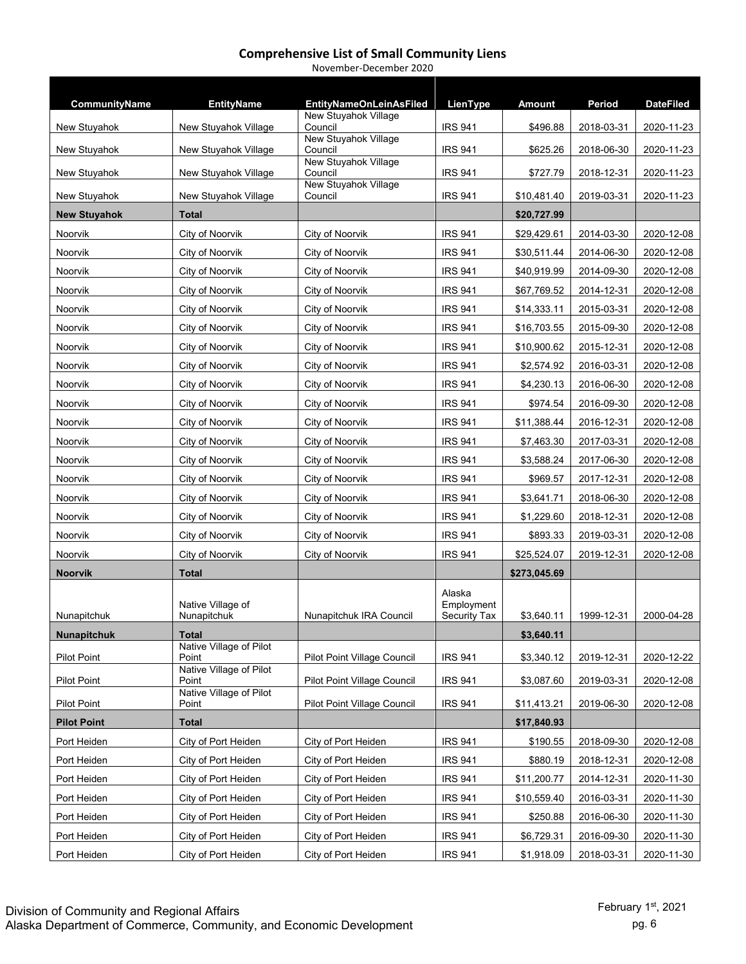| November-December 2020 |  |
|------------------------|--|
|------------------------|--|

| CommunityName       | <b>EntityName</b>                | <b>EntityNameOnLeinAsFiled</b>     | LienType                             | Amount       | Period     | <b>DateFiled</b> |
|---------------------|----------------------------------|------------------------------------|--------------------------------------|--------------|------------|------------------|
| New Stuyahok        | New Stuyahok Village             | New Stuyahok Village<br>Council    | <b>IRS 941</b>                       | \$496.88     | 2018-03-31 | 2020-11-23       |
| New Stuyahok        | New Stuyahok Village             | New Stuyahok Village<br>Council    | <b>IRS 941</b>                       | \$625.26     | 2018-06-30 | 2020-11-23       |
| New Stuyahok        | New Stuyahok Village             | New Stuyahok Village<br>Council    | <b>IRS 941</b>                       | \$727.79     | 2018-12-31 | 2020-11-23       |
| New Stuyahok        | New Stuyahok Village             | New Stuyahok Village<br>Council    | <b>IRS 941</b>                       | \$10,481.40  | 2019-03-31 | 2020-11-23       |
| <b>New Stuyahok</b> | <b>Total</b>                     |                                    |                                      | \$20,727.99  |            |                  |
| Noorvik             | City of Noorvik                  | City of Noorvik                    | <b>IRS 941</b>                       | \$29,429.61  | 2014-03-30 | 2020-12-08       |
| Noorvik             | <b>City of Noorvik</b>           | City of Noorvik                    | <b>IRS 941</b>                       | \$30,511.44  | 2014-06-30 | 2020-12-08       |
| Noorvik             | City of Noorvik                  | City of Noorvik                    | <b>IRS 941</b>                       | \$40,919.99  | 2014-09-30 | 2020-12-08       |
| Noorvik             | City of Noorvik                  | City of Noorvik                    | <b>IRS 941</b>                       | \$67,769.52  | 2014-12-31 | 2020-12-08       |
| Noorvik             | City of Noorvik                  | City of Noorvik                    | <b>IRS 941</b>                       | \$14,333.11  | 2015-03-31 | 2020-12-08       |
| Noorvik             | City of Noorvik                  | City of Noorvik                    | <b>IRS 941</b>                       | \$16,703.55  | 2015-09-30 | 2020-12-08       |
| Noorvik             | <b>City of Noorvik</b>           | City of Noorvik                    | <b>IRS 941</b>                       | \$10,900.62  | 2015-12-31 | 2020-12-08       |
| Noorvik             | City of Noorvik                  | City of Noorvik                    | <b>IRS 941</b>                       | \$2,574.92   | 2016-03-31 | 2020-12-08       |
| Noorvik             | City of Noorvik                  | City of Noorvik                    | <b>IRS 941</b>                       | \$4,230.13   | 2016-06-30 | 2020-12-08       |
| Noorvik             | City of Noorvik                  | City of Noorvik                    | <b>IRS 941</b>                       | \$974.54     | 2016-09-30 | 2020-12-08       |
| Noorvik             | City of Noorvik                  | City of Noorvik                    | <b>IRS 941</b>                       | \$11,388.44  | 2016-12-31 | 2020-12-08       |
| Noorvik             | City of Noorvik                  | City of Noorvik                    | <b>IRS 941</b>                       | \$7,463.30   | 2017-03-31 | 2020-12-08       |
| Noorvik             | City of Noorvik                  | City of Noorvik                    | <b>IRS 941</b>                       | \$3,588.24   | 2017-06-30 | 2020-12-08       |
| Noorvik             | City of Noorvik                  | City of Noorvik                    | <b>IRS 941</b>                       | \$969.57     | 2017-12-31 | 2020-12-08       |
| Noorvik             | City of Noorvik                  | City of Noorvik                    | <b>IRS 941</b>                       | \$3,641.71   | 2018-06-30 | 2020-12-08       |
| Noorvik             | City of Noorvik                  | City of Noorvik                    | <b>IRS 941</b>                       | \$1,229.60   | 2018-12-31 | 2020-12-08       |
| Noorvik             | City of Noorvik                  | City of Noorvik                    | <b>IRS 941</b>                       | \$893.33     | 2019-03-31 | 2020-12-08       |
| Noorvik             | City of Noorvik                  | City of Noorvik                    | <b>IRS 941</b>                       | \$25,524.07  | 2019-12-31 | 2020-12-08       |
| <b>Noorvik</b>      | <b>Total</b>                     |                                    |                                      | \$273,045.69 |            |                  |
| Nunapitchuk         | Native Village of<br>Nunapitchuk | Nunapitchuk IRA Council            | Alaska<br>Employment<br>Security Tax | \$3,640.11   | 1999-12-31 | 2000-04-28       |
| Nunapitchuk         | <b>Total</b>                     |                                    |                                      | \$3,640.11   |            |                  |
| <b>Pilot Point</b>  | Native Village of Pilot<br>Point | Pilot Point Village Council        | <b>IRS 941</b>                       | \$3,340.12   | 2019-12-31 | 2020-12-22       |
| <b>Pilot Point</b>  | Native Village of Pilot<br>Point | Pilot Point Village Council        | <b>IRS 941</b>                       | \$3,087.60   | 2019-03-31 | 2020-12-08       |
| <b>Pilot Point</b>  | Native Village of Pilot<br>Point | <b>Pilot Point Village Council</b> | <b>IRS 941</b>                       | \$11,413.21  | 2019-06-30 | 2020-12-08       |
| <b>Pilot Point</b>  | <b>Total</b>                     |                                    |                                      | \$17,840.93  |            |                  |
| Port Heiden         | City of Port Heiden              | City of Port Heiden                | <b>IRS 941</b>                       | \$190.55     | 2018-09-30 | 2020-12-08       |
| Port Heiden         | City of Port Heiden              | City of Port Heiden                | <b>IRS 941</b>                       | \$880.19     | 2018-12-31 | 2020-12-08       |
| Port Heiden         | City of Port Heiden              | City of Port Heiden                | IRS 941                              | \$11,200.77  | 2014-12-31 | 2020-11-30       |
| Port Heiden         | City of Port Heiden              | City of Port Heiden                | <b>IRS 941</b>                       | \$10,559.40  | 2016-03-31 | 2020-11-30       |
| Port Heiden         | City of Port Heiden              | City of Port Heiden                | <b>IRS 941</b>                       | \$250.88     | 2016-06-30 | 2020-11-30       |
| Port Heiden         | City of Port Heiden              | City of Port Heiden                | <b>IRS 941</b>                       | \$6,729.31   | 2016-09-30 | 2020-11-30       |
| Port Heiden         | City of Port Heiden              | City of Port Heiden                | <b>IRS 941</b>                       | \$1,918.09   | 2018-03-31 | 2020-11-30       |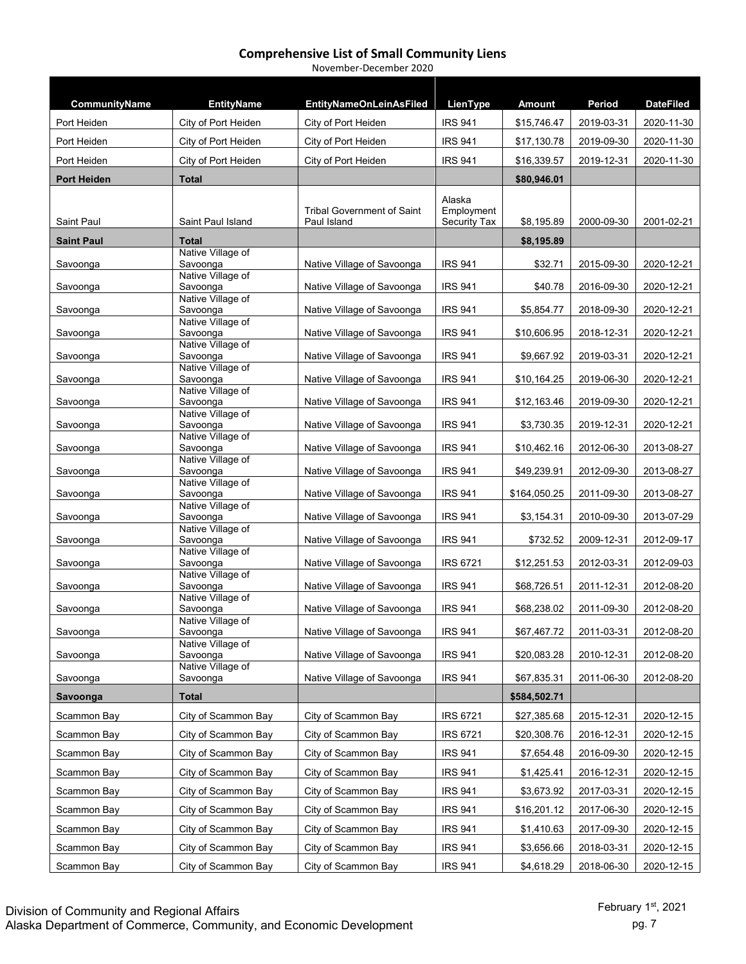| CommunityName      | <b>EntityName</b>                 | <b>EntityNameOnLeinAsFiled</b>    | LienType             | <b>Amount</b> | Period     | <b>DateFiled</b> |
|--------------------|-----------------------------------|-----------------------------------|----------------------|---------------|------------|------------------|
| Port Heiden        | City of Port Heiden               | City of Port Heiden               | <b>IRS 941</b>       | \$15,746.47   | 2019-03-31 | 2020-11-30       |
| Port Heiden        | City of Port Heiden               | City of Port Heiden               | <b>IRS 941</b>       | \$17,130.78   | 2019-09-30 | 2020-11-30       |
| Port Heiden        | City of Port Heiden               |                                   | <b>IRS 941</b>       | \$16,339.57   | 2019-12-31 | 2020-11-30       |
| <b>Port Heiden</b> | <b>Total</b>                      | City of Port Heiden               |                      |               |            |                  |
|                    |                                   |                                   |                      | \$80,946.01   |            |                  |
|                    |                                   | <b>Tribal Government of Saint</b> | Alaska<br>Employment |               |            |                  |
| Saint Paul         | Saint Paul Island                 | Paul Island                       | Security Tax         | \$8,195.89    | 2000-09-30 | 2001-02-21       |
| <b>Saint Paul</b>  | <b>Total</b><br>Native Village of |                                   |                      | \$8,195.89    |            |                  |
| Savoonga           | Savoonga                          | Native Village of Savoonga        | <b>IRS 941</b>       | \$32.71       | 2015-09-30 | 2020-12-21       |
| Savoonga           | Native Village of<br>Savoonga     | Native Village of Savoonga        | <b>IRS 941</b>       | \$40.78       | 2016-09-30 | 2020-12-21       |
|                    | Native Village of                 |                                   |                      |               |            |                  |
| Savoonga           | Savoonga<br>Native Village of     | Native Village of Savoonga        | <b>IRS 941</b>       | \$5,854.77    | 2018-09-30 | 2020-12-21       |
| Savoonga           | Savoonga                          | Native Village of Savoonga        | <b>IRS 941</b>       | \$10,606.95   | 2018-12-31 | 2020-12-21       |
| Savoonga           | Native Village of<br>Savoonga     | Native Village of Savoonga        | <b>IRS 941</b>       | \$9,667.92    | 2019-03-31 | 2020-12-21       |
|                    | Native Village of<br>Savoonga     |                                   | <b>IRS 941</b>       |               | 2019-06-30 |                  |
| Savoonga           | Native Village of                 | Native Village of Savoonga        |                      | \$10,164.25   |            | 2020-12-21       |
| Savoonga           | Savoonga<br>Native Village of     | Native Village of Savoonga        | <b>IRS 941</b>       | \$12,163.46   | 2019-09-30 | 2020-12-21       |
| Savoonga           | Savoonga                          | Native Village of Savoonga        | <b>IRS 941</b>       | \$3,730.35    | 2019-12-31 | 2020-12-21       |
| Savoonga           | Native Village of<br>Savoonga     | Native Village of Savoonga        | <b>IRS 941</b>       | \$10,462.16   | 2012-06-30 | 2013-08-27       |
|                    | Native Village of                 |                                   |                      |               |            |                  |
| Savoonga           | Savoonga<br>Native Village of     | Native Village of Savoonga        | <b>IRS 941</b>       | \$49,239.91   | 2012-09-30 | 2013-08-27       |
| Savoonga           | Savoonga<br>Native Village of     | Native Village of Savoonga        | <b>IRS 941</b>       | \$164,050.25  | 2011-09-30 | 2013-08-27       |
| Savoonga           | Savoonga                          | Native Village of Savoonga        | <b>IRS 941</b>       | \$3,154.31    | 2010-09-30 | 2013-07-29       |
| Savoonga           | Native Village of<br>Savoonga     | Native Village of Savoonga        | <b>IRS 941</b>       | \$732.52      | 2009-12-31 | 2012-09-17       |
|                    | Native Village of                 |                                   |                      |               |            |                  |
| Savoonga           | Savoonga<br>Native Village of     | Native Village of Savoonga        | <b>IRS 6721</b>      | \$12,251.53   | 2012-03-31 | 2012-09-03       |
| Savoonga           | Savoonga<br>Native Village of     | Native Village of Savoonga        | <b>IRS 941</b>       | \$68,726.51   | 2011-12-31 | 2012-08-20       |
| Savoonga           | Savoonga                          | Native Village of Savoonga        | <b>IRS 941</b>       | \$68,238.02   | 2011-09-30 | 2012-08-20       |
| Savoonga           | Native Village of<br>Savoonga     | Native Village of Savoonga        | <b>IRS 941</b>       | \$67,467.72   | 2011-03-31 | 2012-08-20       |
|                    | Native Village of                 |                                   |                      |               |            |                  |
| Savoonga           | Savoonga<br>Native Village of     | Native Village of Savoonga        | <b>IRS 941</b>       | \$20,083.28   | 2010-12-31 | 2012-08-20       |
| Savoonga           | Savoonga                          | Native Village of Savoonga        | <b>IRS 941</b>       | \$67,835.31   | 2011-06-30 | 2012-08-20       |
| Savoonga           | <b>Total</b>                      |                                   |                      | \$584,502.71  |            |                  |
| Scammon Bay        | City of Scammon Bay               | City of Scammon Bay               | <b>IRS 6721</b>      | \$27,385.68   | 2015-12-31 | 2020-12-15       |
| Scammon Bay        | City of Scammon Bay               | City of Scammon Bay               | <b>IRS 6721</b>      | \$20,308.76   | 2016-12-31 | 2020-12-15       |
| Scammon Bay        | City of Scammon Bay               | City of Scammon Bay               | <b>IRS 941</b>       | \$7,654.48    | 2016-09-30 | 2020-12-15       |
| Scammon Bay        | City of Scammon Bay               | City of Scammon Bay               | <b>IRS 941</b>       | \$1,425.41    | 2016-12-31 | 2020-12-15       |
| Scammon Bay        | City of Scammon Bay               | City of Scammon Bay               | <b>IRS 941</b>       | \$3,673.92    | 2017-03-31 | 2020-12-15       |
| Scammon Bay        | City of Scammon Bay               | City of Scammon Bay               | <b>IRS 941</b>       | \$16,201.12   | 2017-06-30 | 2020-12-15       |
| Scammon Bay        | City of Scammon Bay               | City of Scammon Bay               | <b>IRS 941</b>       | \$1,410.63    | 2017-09-30 | 2020-12-15       |
| Scammon Bay        | City of Scammon Bay               | City of Scammon Bay               | <b>IRS 941</b>       | \$3,656.66    | 2018-03-31 | 2020-12-15       |
| Scammon Bay        | City of Scammon Bay               | City of Scammon Bay               | <b>IRS 941</b>       | \$4,618.29    | 2018-06-30 | 2020-12-15       |